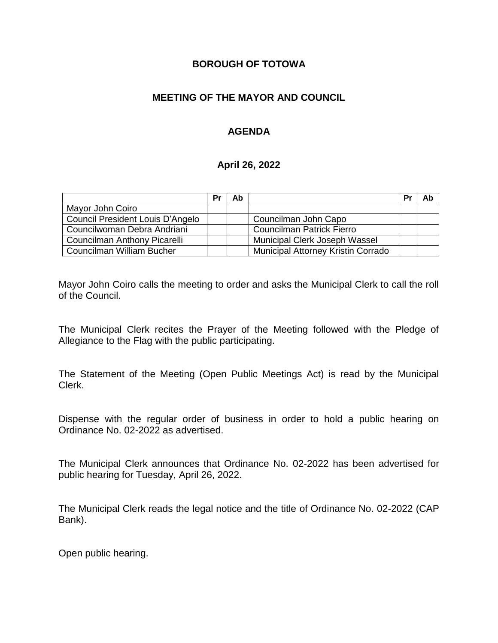## **BOROUGH OF TOTOWA**

# **MEETING OF THE MAYOR AND COUNCIL**

# **AGENDA**

#### **April 26, 2022**

|                                  | Pr | Ab |                                           | Pr | Ab |
|----------------------------------|----|----|-------------------------------------------|----|----|
| Mayor John Coiro                 |    |    |                                           |    |    |
| Council President Louis D'Angelo |    |    | Councilman John Capo                      |    |    |
| Councilwoman Debra Andriani      |    |    | <b>Councilman Patrick Fierro</b>          |    |    |
| Councilman Anthony Picarelli     |    |    | Municipal Clerk Joseph Wassel             |    |    |
| Councilman William Bucher        |    |    | <b>Municipal Attorney Kristin Corrado</b> |    |    |

Mayor John Coiro calls the meeting to order and asks the Municipal Clerk to call the roll of the Council.

The Municipal Clerk recites the Prayer of the Meeting followed with the Pledge of Allegiance to the Flag with the public participating.

The Statement of the Meeting (Open Public Meetings Act) is read by the Municipal Clerk.

Dispense with the regular order of business in order to hold a public hearing on Ordinance No. 02-2022 as advertised.

The Municipal Clerk announces that Ordinance No. 02-2022 has been advertised for public hearing for Tuesday, April 26, 2022.

The Municipal Clerk reads the legal notice and the title of Ordinance No. 02-2022 (CAP Bank).

Open public hearing.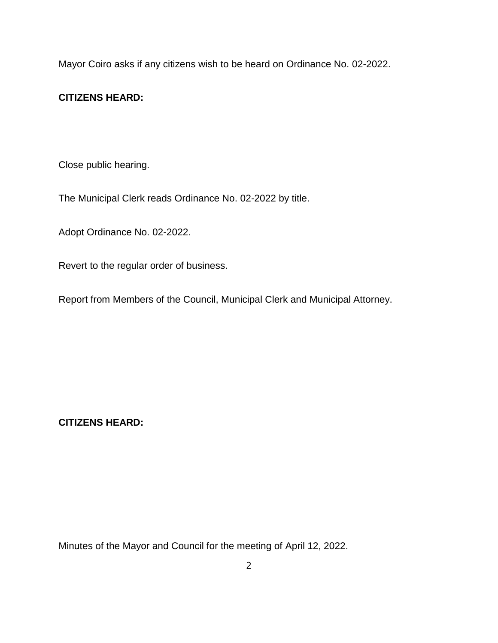Mayor Coiro asks if any citizens wish to be heard on Ordinance No. 02-2022.

#### **CITIZENS HEARD:**

Close public hearing.

The Municipal Clerk reads Ordinance No. 02-2022 by title.

Adopt Ordinance No. 02-2022.

Revert to the regular order of business.

Report from Members of the Council, Municipal Clerk and Municipal Attorney.

**CITIZENS HEARD:**

Minutes of the Mayor and Council for the meeting of April 12, 2022.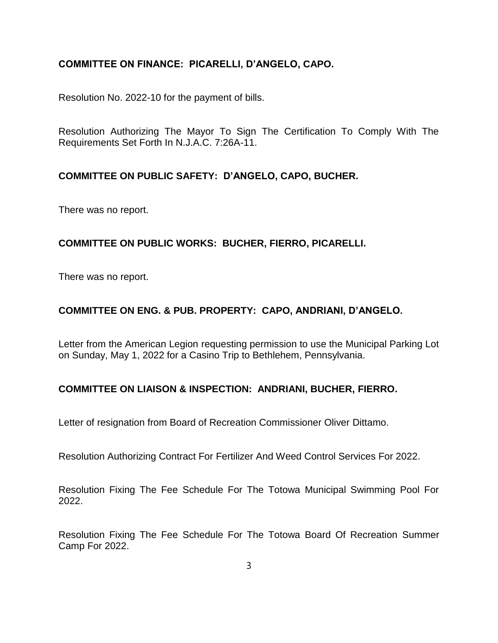# **COMMITTEE ON FINANCE: PICARELLI, D'ANGELO, CAPO.**

Resolution No. 2022-10 for the payment of bills.

Resolution Authorizing The Mayor To Sign The Certification To Comply With The Requirements Set Forth In N.J.A.C. 7:26A-11.

## **COMMITTEE ON PUBLIC SAFETY: D'ANGELO, CAPO, BUCHER.**

There was no report.

## **COMMITTEE ON PUBLIC WORKS: BUCHER, FIERRO, PICARELLI.**

There was no report.

## **COMMITTEE ON ENG. & PUB. PROPERTY: CAPO, ANDRIANI, D'ANGELO.**

Letter from the American Legion requesting permission to use the Municipal Parking Lot on Sunday, May 1, 2022 for a Casino Trip to Bethlehem, Pennsylvania.

#### **COMMITTEE ON LIAISON & INSPECTION: ANDRIANI, BUCHER, FIERRO.**

Letter of resignation from Board of Recreation Commissioner Oliver Dittamo.

Resolution Authorizing Contract For Fertilizer And Weed Control Services For 2022.

Resolution Fixing The Fee Schedule For The Totowa Municipal Swimming Pool For 2022.

Resolution Fixing The Fee Schedule For The Totowa Board Of Recreation Summer Camp For 2022.